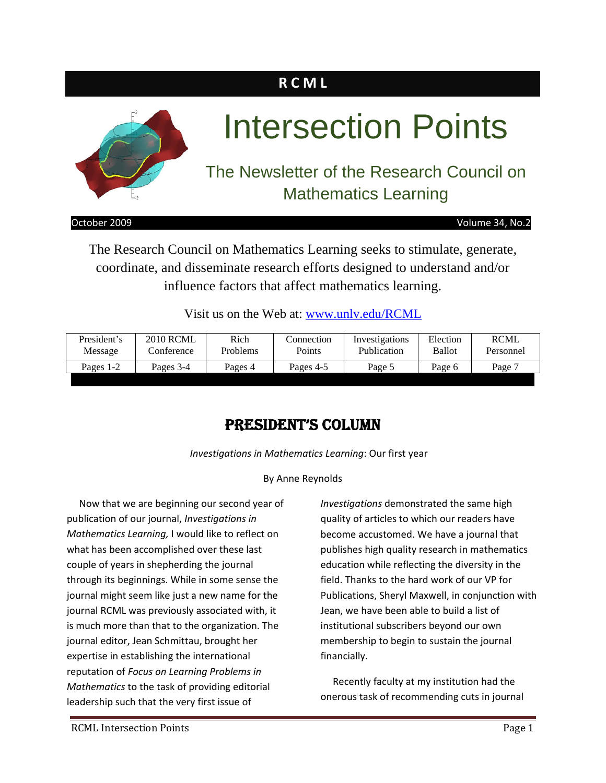# **R C M L**



October 2009 Volume 34, No.2

The Research Council on Mathematics Learning seeks to stimulate, generate, coordinate, and disseminate research efforts designed to understand and/or influence factors that affect mathematics learning.

Visit us on the Web at: www.unly.edu/RCML

| President's | <b>2010 RCML</b> | Rich     | Connection | Investigations | Election      | RCML      |
|-------------|------------------|----------|------------|----------------|---------------|-----------|
| Message     | Conference       | Problems | Points     | Publication    | <b>Ballot</b> | Personnel |
| Pages 1-2   | Pages 3-4        | Pages 4  | Pages 4-5  | Page 5         | Page 6        |           |

### PRESIDENT'S COLUMN

*Investigations in Mathematics Learning*: Our first year

#### By Anne Reynolds

 Now that we are beginning our second year of publication of our journal, *Investigations in Mathematics Learning,* I would like to reflect on what has been accomplished over these last couple of years in shepherding the journal through its beginnings. While in some sense the journal might seem like just a new name for the journal RCML was previously associated with, it is much more than that to the organization. The journal editor, Jean Schmittau, brought her expertise in establishing the international reputation of *Focus on Learning Problems in Mathematics* to the task of providing editorial leadership such that the very first issue of

*Investigations* demonstrated the same high quality of articles to which our readers have become accustomed. We have a journal that publishes high quality research in mathematics education while reflecting the diversity in the field. Thanks to the hard work of our VP for Publications, Sheryl Maxwell, in conjunction with Jean, we have been able to build a list of institutional subscribers beyond our own membership to begin to sustain the journal financially.

 Recently faculty at my institution had the onerous task of recommending cuts in journal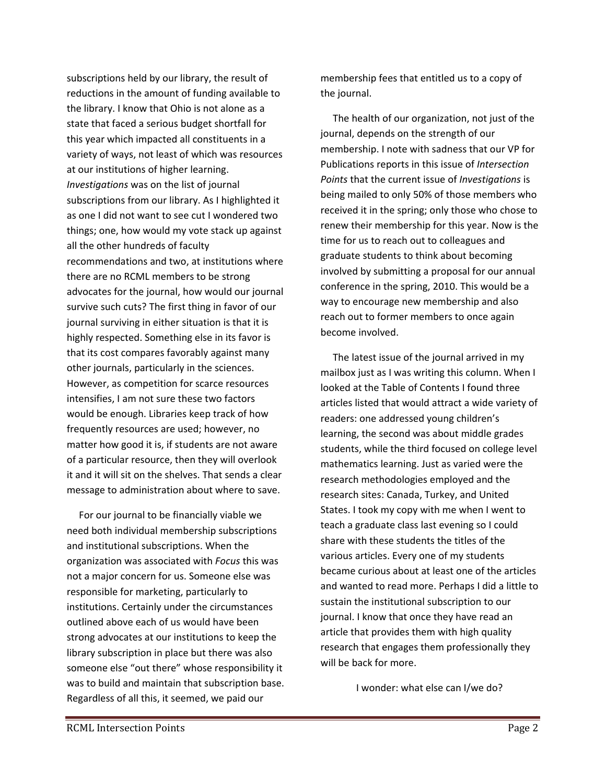subscriptions held by our library, the result of reductions in the amount of funding available to the library. I know that Ohio is not alone as a state that faced a serious budget shortfall for this year which impacted all constituents in a variety of ways, not least of which was resources at our institutions of higher learning. *Investigations* was on the list of journal subscriptions from our library. As I highlighted it as one I did not want to see cut I wondered two things; one, how would my vote stack up against all the other hundreds of faculty recommendations and two, at institutions where there are no RCML members to be strong advocates for the journal, how would our journal survive such cuts? The first thing in favor of our journal surviving in either situation is that it is highly respected. Something else in its favor is that its cost compares favorably against many other journals, particularly in the sciences. However, as competition for scarce resources intensifies, I am not sure these two factors would be enough. Libraries keep track of how frequently resources are used; however, no matter how good it is, if students are not aware of a particular resource, then they will overlook it and it will sit on the shelves. That sends a clear message to administration about where to save.

 For our journal to be financially viable we need both individual membership subscriptions and institutional subscriptions. When the organization was associated with *Focus* this was not a major concern for us. Someone else was responsible for marketing, particularly to institutions. Certainly under the circumstances outlined above each of us would have been strong advocates at our institutions to keep the library subscription in place but there was also someone else "out there" whose responsibility it was to build and maintain that subscription base. Regardless of all this, it seemed, we paid our

membership fees that entitled us to a copy of the journal.

 The health of our organization, not just of the journal, depends on the strength of our membership. I note with sadness that our VP for Publications reports in this issue of *Intersection Points* that the current issue of *Investigations* is being mailed to only 50% of those members who received it in the spring; only those who chose to renew their membership for this year. Now is the time for us to reach out to colleagues and graduate students to think about becoming involved by submitting a proposal for our annual conference in the spring, 2010. This would be a way to encourage new membership and also reach out to former members to once again become involved.

 The latest issue of the journal arrived in my mailbox just as I was writing this column. When I looked at the Table of Contents I found three articles listed that would attract a wide variety of readers: one addressed young children's learning, the second was about middle grades students, while the third focused on college level mathematics learning. Just as varied were the research methodologies employed and the research sites: Canada, Turkey, and United States. I took my copy with me when I went to teach a graduate class last evening so I could share with these students the titles of the various articles. Every one of my students became curious about at least one of the articles and wanted to read more. Perhaps I did a little to sustain the institutional subscription to our journal. I know that once they have read an article that provides them with high quality research that engages them professionally they will be back for more.

I wonder: what else can I/we do?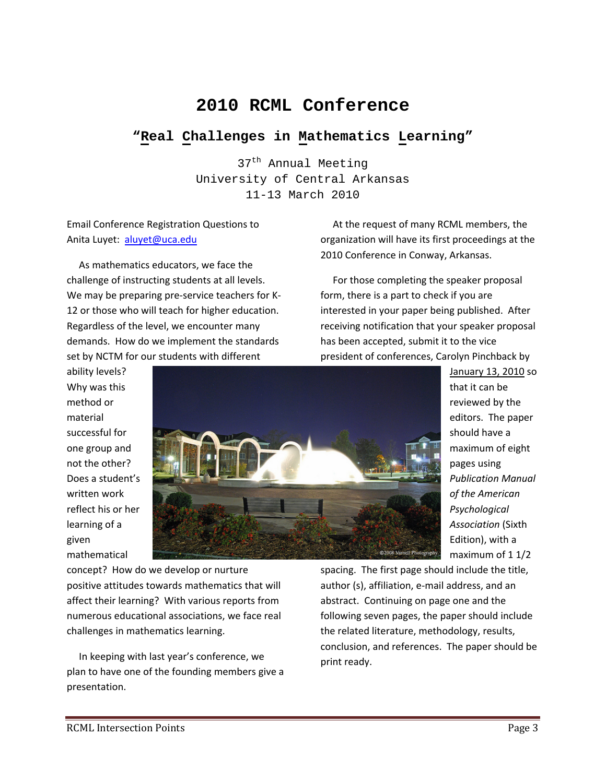## **2010 RCML Conference**

### **"Real Challenges in Mathematics Learning"**

37<sup>th</sup> Annual Meeting University of Central Arkansas 11-13 March 2010

Email Conference Registration Questions to Anita Luyet: aluyet@uca.edu

 As mathematics educators, we face the challenge of instructing students at all levels. We may be preparing pre-service teachers for K-12 or those who will teach for higher education. Regardless of the level, we encounter many demands. How do we implement the standards set by NCTM for our students with different

ability levels? Why was this method or material successful for one group and not the other? Does a student's written work reflect his or her learning of a given mathematical



concept? How do we develop or nurture positive attitudes towards mathematics that will affect their learning? With various reports from numerous educational associations, we face real challenges in mathematics learning.

 In keeping with last year's conference, we plan to have one of the founding members give a presentation.

 At the request of many RCML members, the organization will have its first proceedings at the 2010 Conference in Conway, Arkansas.

 For those completing the speaker proposal form, there is a part to check if you are interested in your paper being published. After receiving notification that your speaker proposal has been accepted, submit it to the vice president of conferences, Carolyn Pinchback by

> January 13, 2010 so that it can be reviewed by the editors. The paper should have a maximum of eight pages using *Publication Manual of the American Psychological Association* (Sixth Edition), with a maximum of 1 1/2

spacing. The first page should include the title, author (s), affiliation, e‐mail address, and an abstract. Continuing on page one and the following seven pages, the paper should include the related literature, methodology, results, conclusion, and references. The paper should be print ready.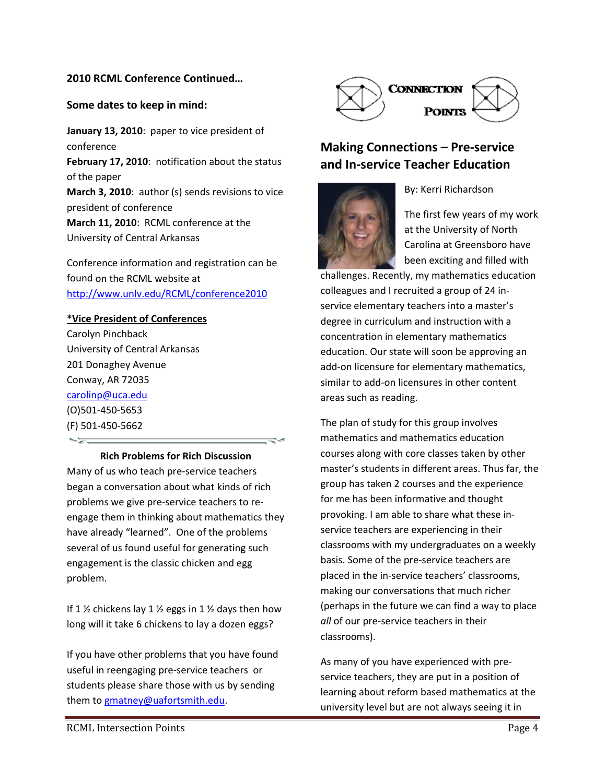#### **2010 RCML Conference Continued…**

#### **Some dates to keep in mind:**

**January 13, 2010**: paper to vice president of conference **February 17, 2010**: notification about the status of the paper **March 3, 2010**: author (s) sends revisions to vice president of conference **March 11, 2010**: RCML conference at the

University of Central Arkansas

Conference information and registration can be found on the RCML website at http://www.unlv.edu/RCML/conference2010

#### **\*Vice President of Conferences**

Carolyn Pinchback University of Central Arkansas 201 Donaghey Avenue Conway, AR 72035 carolinp@uca.edu (O)501‐450‐5653 (F) 501‐450‐5662

**Rich Problems for Rich Discussion** Many of us who teach pre‐service teachers began a conversation about what kinds of rich problems we give pre‐service teachers to re‐ engage them in thinking about mathematics they have already "learned". One of the problems several of us found useful for generating such engagement is the classic chicken and egg problem.

If 1  $\frac{1}{2}$  chickens lay 1  $\frac{1}{2}$  eggs in 1  $\frac{1}{2}$  days then how long will it take 6 chickens to lay a dozen eggs?

If you have other problems that you have found useful in reengaging pre‐service teachers or students please share those with us by sending them to gmatney@uafortsmith.edu.



### **Making Connections – Pre‐service and In‐service Teacher Education**



The first few years of my work at the University of North Carolina at Greensboro have been exciting and filled with

By: Kerri Richardson

challenges. Recently, my mathematics education colleagues and I recruited a group of 24 in‐ service elementary teachers into a master's degree in curriculum and instruction with a concentration in elementary mathematics education. Our state will soon be approving an add‐on licensure for elementary mathematics, similar to add‐on licensures in other content areas such as reading.

The plan of study for this group involves mathematics and mathematics education courses along with core classes taken by other master's students in different areas. Thus far, the group has taken 2 courses and the experience for me has been informative and thought provoking. I am able to share what these in‐ service teachers are experiencing in their classrooms with my undergraduates on a weekly basis. Some of the pre‐service teachers are placed in the in‐service teachers' classrooms, making our conversations that much richer (perhaps in the future we can find a way to place *all* of our pre‐service teachers in their classrooms).

As many of you have experienced with pre‐ service teachers, they are put in a position of learning about reform based mathematics at the university level but are not always seeing it in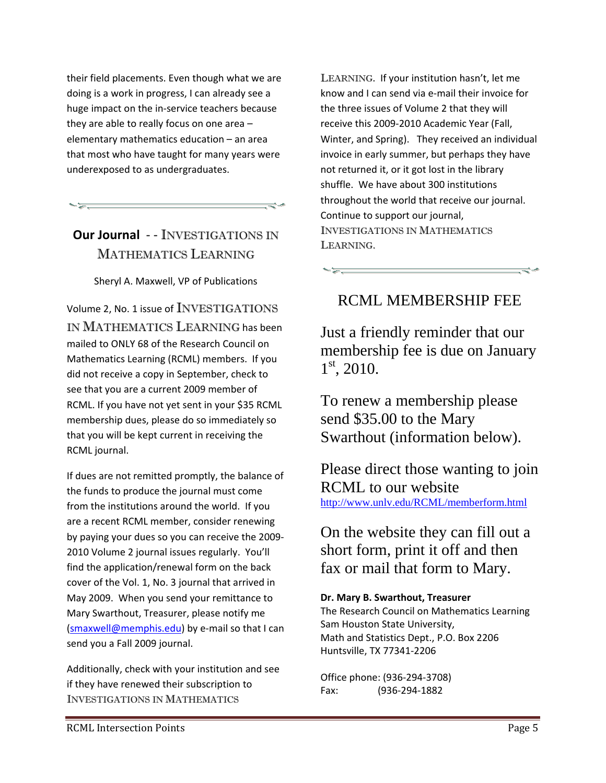their field placements. Even though what we are doing is a work in progress, I can already see a huge impact on the in‐service teachers because they are able to really focus on one area – elementary mathematics education – an area that most who have taught for many years were underexposed to as undergraduates.

### **Our Journal** ‐ ‐ INVESTIGATIONS IN MATHEMATICS LEARNING

Sheryl A. Maxwell, VP of Publications

Volume 2, No. 1 issue of INVESTIGATIONS IN MATHEMATICS LEARNING has been mailed to ONLY 68 of the Research Council on Mathematics Learning (RCML) members. If you did not receive a copy in September, check to see that you are a current 2009 member of RCML. If you have not yet sent in your \$35 RCML membership dues, please do so immediately so that you will be kept current in receiving the RCML journal.

If dues are not remitted promptly, the balance of the funds to produce the journal must come from the institutions around the world. If you are a recent RCML member, consider renewing by paying your dues so you can receive the 2009‐ 2010 Volume 2 journal issues regularly. You'll find the application/renewal form on the back cover of the Vol. 1, No. 3 journal that arrived in May 2009. When you send your remittance to Mary Swarthout, Treasurer, please notify me (smaxwell@memphis.edu) by e‐mail so that I can send you a Fall 2009 journal.

Additionally, check with your institution and see if they have renewed their subscription to INVESTIGATIONS IN MATHEMATICS

LEARNING. If your institution hasn't, let me know and I can send via e‐mail their invoice for the three issues of Volume 2 that they will receive this 2009‐2010 Academic Year (Fall, Winter, and Spring). They received an individual invoice in early summer, but perhaps they have not returned it, or it got lost in the library shuffle. We have about 300 institutions throughout the world that receive our journal. Continue to support our journal, INVESTIGATIONS IN MATHEMATICS LEARNING.

### RCML MEMBERSHIP FEE

Just a friendly reminder that our membership fee is due on January  $1<sup>st</sup>$ , 2010.

To renew a membership please send \$35.00 to the Mary Swarthout (information below).

Please direct those wanting to join RCML to our website http://www.unlv.edu/RCML/memberform.html

On the website they can fill out a short form, print it off and then fax or mail that form to Mary.

**Dr. Mary B. Swarthout, Treasurer**

The Research Council on Mathematics Learning Sam Houston State University, Math and Statistics Dept., P.O. Box 2206 Huntsville, TX 77341‐2206

Office phone: (936‐294‐3708) Fax: (936‐294‐1882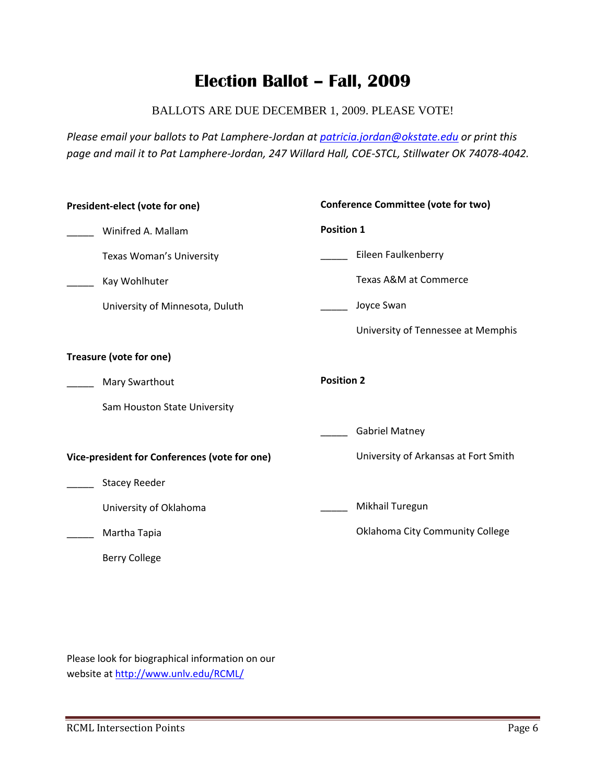# **Election Ballot – Fall, 2009**

### BALLOTS ARE DUE DECEMBER 1, 2009. PLEASE VOTE!

*Please email your ballots to Pat Lamphere‐Jordan at patricia.jordan@okstate.edu or print this* page and mail it to Pat Lamphere-Jordan, 247 Willard Hall, COE-STCL, Stillwater OK 74078-4042.

| President-elect (vote for one)                | <b>Conference Committee (vote for two)</b> |  |  |  |  |  |
|-----------------------------------------------|--------------------------------------------|--|--|--|--|--|
| Winifred A. Mallam                            | <b>Position 1</b>                          |  |  |  |  |  |
| Texas Woman's University                      | Eileen Faulkenberry                        |  |  |  |  |  |
| Kay Wohlhuter                                 | Texas A&M at Commerce                      |  |  |  |  |  |
| University of Minnesota, Duluth               | Joyce Swan                                 |  |  |  |  |  |
|                                               | University of Tennessee at Memphis         |  |  |  |  |  |
| Treasure (vote for one)                       |                                            |  |  |  |  |  |
| <b>Mary Swarthout</b>                         | <b>Position 2</b>                          |  |  |  |  |  |
| Sam Houston State University                  |                                            |  |  |  |  |  |
|                                               | <b>Gabriel Matney</b>                      |  |  |  |  |  |
| Vice-president for Conferences (vote for one) | University of Arkansas at Fort Smith       |  |  |  |  |  |
| <b>Stacey Reeder</b>                          |                                            |  |  |  |  |  |
| University of Oklahoma                        | Mikhail Turegun                            |  |  |  |  |  |
| Martha Tapia                                  | Oklahoma City Community College            |  |  |  |  |  |
| <b>Berry College</b>                          |                                            |  |  |  |  |  |
|                                               |                                            |  |  |  |  |  |

Please look for biographical information on our website at http://www.unlv.edu/RCML/